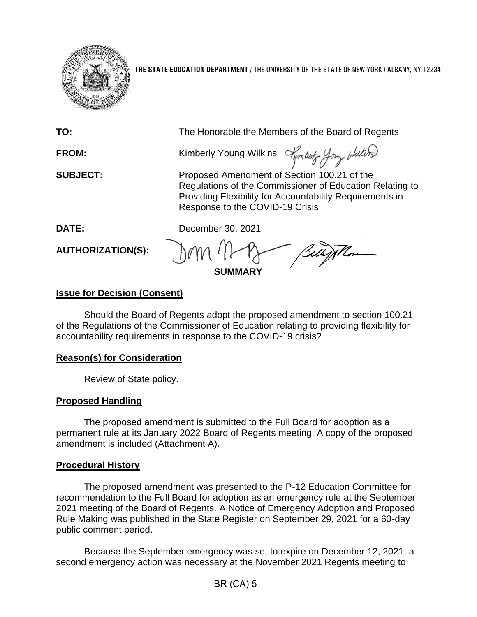

**THE STATE EDUCATION DEPARTMENT** / THE UNIVERSITY OF THE STATE OF NEW YORK / ALBANY, NY 12234

| TO:                      | The Honorable the Members of the Board of Regents                                                                                                                                                      |
|--------------------------|--------------------------------------------------------------------------------------------------------------------------------------------------------------------------------------------------------|
| FROM:                    | Kimberly Young Wilkins Amboty-Yory                                                                                                                                                                     |
| <b>SUBJECT:</b>          | Proposed Amendment of Section 100.21 of the<br>Regulations of the Commissioner of Education Relating to<br>Providing Flexibility for Accountability Requirements in<br>Response to the COVID-19 Crisis |
| <b>DATE:</b>             | December 30, 2021                                                                                                                                                                                      |
| <b>AUTHORIZATION(S):</b> | Belligilla<br><b>SUMMARY</b>                                                                                                                                                                           |

## **Issue for Decision (Consent)**

Should the Board of Regents adopt the proposed amendment to section 100.21 of the Regulations of the Commissioner of Education relating to providing flexibility for accountability requirements in response to the COVID-19 crisis?

### **Reason(s) for Consideration**

Review of State policy.

# **Proposed Handling**

The proposed amendment is submitted to the Full Board for adoption as a permanent rule at its January 2022 Board of Regents meeting. A copy of the proposed amendment is included (Attachment A).

### **Procedural History**

The proposed amendment was presented to the P-12 Education Committee for recommendation to the Full Board for adoption as an emergency rule at the September 2021 meeting of the Board of Regents. A Notice of Emergency Adoption and Proposed Rule Making was published in the State Register on September 29, 2021 for a 60-day public comment period.

Because the September emergency was set to expire on December 12, 2021, a second emergency action was necessary at the November 2021 Regents meeting to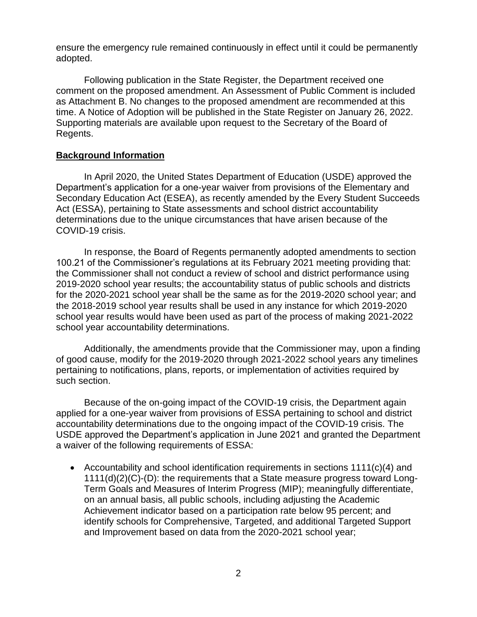ensure the emergency rule remained continuously in effect until it could be permanently adopted.

Following publication in the State Register, the Department received one comment on the proposed amendment. An Assessment of Public Comment is included as Attachment B. No changes to the proposed amendment are recommended at this time. A Notice of Adoption will be published in the State Register on January 26, 2022. Supporting materials are available upon request to the Secretary of the Board of Regents.

#### **Background Information**

In April 2020, the United States Department of Education (USDE) approved the Department's application for a one-year waiver from provisions of the Elementary and Secondary Education Act (ESEA), as recently amended by the Every Student Succeeds Act (ESSA), pertaining to State assessments and school district accountability determinations due to the unique circumstances that have arisen because of the COVID-19 crisis.

In response, the Board of Regents permanently adopted amendments to section 100.21 of the Commissioner's regulations at its February 2021 meeting providing that: the Commissioner shall not conduct a review of school and district performance using 2019-2020 school year results; the accountability status of public schools and districts for the 2020-2021 school year shall be the same as for the 2019-2020 school year; and the 2018-2019 school year results shall be used in any instance for which 2019-2020 school year results would have been used as part of the process of making 2021-2022 school year accountability determinations.

Additionally, the amendments provide that the Commissioner may, upon a finding of good cause, modify for the 2019-2020 through 2021-2022 school years any timelines pertaining to notifications, plans, reports, or implementation of activities required by such section.

Because of the on-going impact of the COVID-19 crisis, the Department again applied for a one-year waiver from provisions of ESSA pertaining to school and district accountability determinations due to the ongoing impact of the COVID-19 crisis. The USDE approved the Department's application in June 2021 and granted the Department a waiver of the following requirements of ESSA:

• Accountability and school identification requirements in sections 1111(c)(4) and 1111(d)(2)(C)-(D): the requirements that a State measure progress toward Long-Term Goals and Measures of Interim Progress (MIP); meaningfully differentiate, on an annual basis, all public schools, including adjusting the Academic Achievement indicator based on a participation rate below 95 percent; and identify schools for Comprehensive, Targeted, and additional Targeted Support and Improvement based on data from the 2020-2021 school year;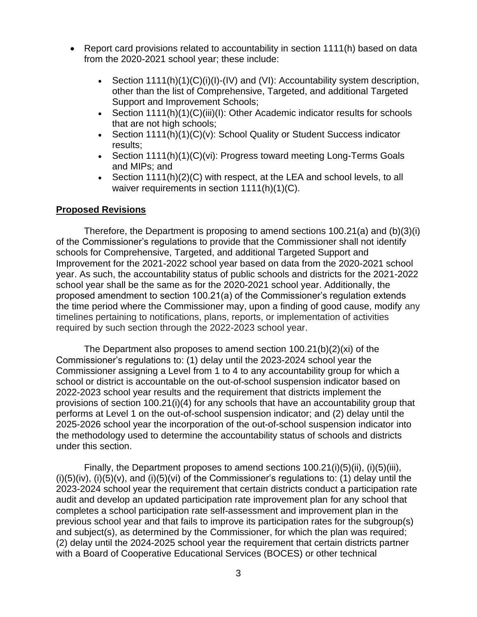- Report card provisions related to accountability in section 1111(h) based on data from the 2020-2021 school year; these include:
	- Section  $1111(h)(1)(C)(i)(l) (IV)$  and  $(Vl)$ : Accountability system description, other than the list of Comprehensive, Targeted, and additional Targeted Support and Improvement Schools;
	- Section 1111(h)(1)(C)(iii)(l): Other Academic indicator results for schools that are not high schools;
	- Section 1111(h)(1)(C)(v): School Quality or Student Success indicator results;
	- Section 1111(h)(1)(C)(vi): Progress toward meeting Long-Terms Goals and MIPs; and
	- Section 1111(h)(2)(C) with respect, at the LEA and school levels, to all waiver requirements in section 1111(h)(1)(C).

### **Proposed Revisions**

Therefore, the Department is proposing to amend sections 100.21(a) and (b)(3)(i) of the Commissioner's regulations to provide that the Commissioner shall not identify schools for Comprehensive, Targeted, and additional Targeted Support and Improvement for the 2021-2022 school year based on data from the 2020-2021 school year. As such, the accountability status of public schools and districts for the 2021-2022 school year shall be the same as for the 2020-2021 school year. Additionally, the proposed amendment to section 100.21(a) of the Commissioner's regulation extends the time period where the Commissioner may, upon a finding of good cause, modify any timelines pertaining to notifications, plans, reports, or implementation of activities required by such section through the 2022-2023 school year.

The Department also proposes to amend section  $100.21(b)(2)(xi)$  of the Commissioner's regulations to: (1) delay until the 2023-2024 school year the Commissioner assigning a Level from 1 to 4 to any accountability group for which a school or district is accountable on the out-of-school suspension indicator based on 2022-2023 school year results and the requirement that districts implement the provisions of section 100.21(i)(4) for any schools that have an accountability group that performs at Level 1 on the out-of-school suspension indicator; and (2) delay until the 2025-2026 school year the incorporation of the out-of-school suspension indicator into the methodology used to determine the accountability status of schools and districts under this section.

Finally, the Department proposes to amend sections 100.21(i)(5)(ii), (i)(5)(iii),  $(i)(5)(iv)$ ,  $(i)(5)(v)$ , and  $(i)(5)(vi)$  of the Commissioner's regulations to: (1) delay until the 2023-2024 school year the requirement that certain districts conduct a participation rate audit and develop an updated participation rate improvement plan for any school that completes a school participation rate self-assessment and improvement plan in the previous school year and that fails to improve its participation rates for the subgroup(s) and subject(s), as determined by the Commissioner, for which the plan was required; (2) delay until the 2024-2025 school year the requirement that certain districts partner with a Board of Cooperative Educational Services (BOCES) or other technical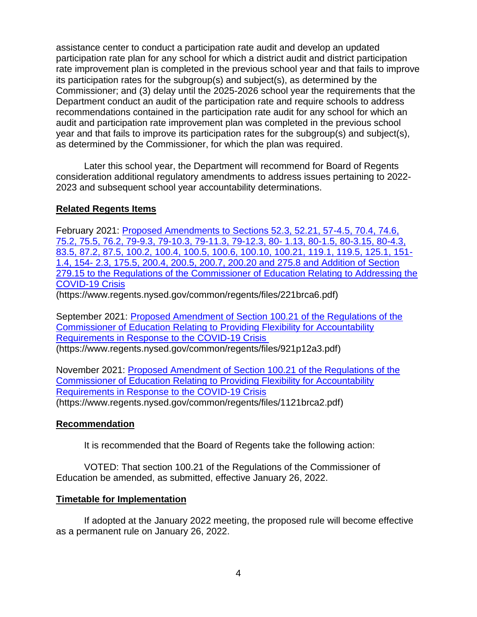assistance center to conduct a participation rate audit and develop an updated participation rate plan for any school for which a district audit and district participation rate improvement plan is completed in the previous school year and that fails to improve its participation rates for the subgroup(s) and subject(s), as determined by the Commissioner; and (3) delay until the 2025-2026 school year the requirements that the Department conduct an audit of the participation rate and require schools to address recommendations contained in the participation rate audit for any school for which an audit and participation rate improvement plan was completed in the previous school year and that fails to improve its participation rates for the subgroup(s) and subject(s), as determined by the Commissioner, for which the plan was required.

Later this school year, the Department will recommend for Board of Regents consideration additional regulatory amendments to address issues pertaining to 2022- 2023 and subsequent school year accountability determinations.

# **Related Regents Items**

February 2021: [Proposed Amendments to Sections 52.3, 52.21, 57-4.5, 70.4, 74.6,](https://www.regents.nysed.gov/common/regents/files/221brca6.pdf)  [75.2, 75.5, 76.2, 79-9.3, 79-10.3, 79-11.3, 79-12.3, 80-](https://www.regents.nysed.gov/common/regents/files/221brca6.pdf) 1.13, 80-1.5, 80-3.15, 80-4.3, [83.5, 87.2, 87.5, 100.2, 100.4, 100.5, 100.6, 100.10, 100.21, 119.1, 119.5, 125.1, 151-](https://www.regents.nysed.gov/common/regents/files/221brca6.pdf) 1.4, 154- [2.3, 175.5, 200.4, 200.5, 200.7, 200.20 and 275.8 and Addition of Section](https://www.regents.nysed.gov/common/regents/files/221brca6.pdf)  [279.15 to the Regulations of the Commissioner of Education Relating to Addressing the](https://www.regents.nysed.gov/common/regents/files/221brca6.pdf)  [COVID-19 Crisis](https://www.regents.nysed.gov/common/regents/files/221brca6.pdf) (https://www.regents.nysed.gov/common/regents/files/221brca6.pdf)

September 2021: [Proposed Amendment of Section 100.21 of the Regulations of the](https://www.regents.nysed.gov/common/regents/files/921p12a3.pdf) 

[Commissioner of Education Relating to](https://www.regents.nysed.gov/common/regents/files/921p12a3.pdf) Providing Flexibility for Accountability [Requirements in Response to the COVID-19 Crisis](https://www.regents.nysed.gov/common/regents/files/921p12a3.pdf)

(https://www.regents.nysed.gov/common/regents/files/921p12a3.pdf)

November 2021: [Proposed Amendment of Section 100.21 of the Regulations of the](https://www.regents.nysed.gov/common/regents/files/1121brca2.pdf)  [Commissioner of Education Relating to Providing Flexibility for Accountability](https://www.regents.nysed.gov/common/regents/files/1121brca2.pdf)  [Requirements in Response to the COVID-19 Crisis](https://www.regents.nysed.gov/common/regents/files/1121brca2.pdf) (https://www.regents.nysed.gov/common/regents/files/1121brca2.pdf)

# **Recommendation**

It is recommended that the Board of Regents take the following action:

VOTED: That section 100.21 of the Regulations of the Commissioner of Education be amended, as submitted, effective January 26, 2022.

# **Timetable for Implementation**

If adopted at the January 2022 meeting, the proposed rule will become effective as a permanent rule on January 26, 2022.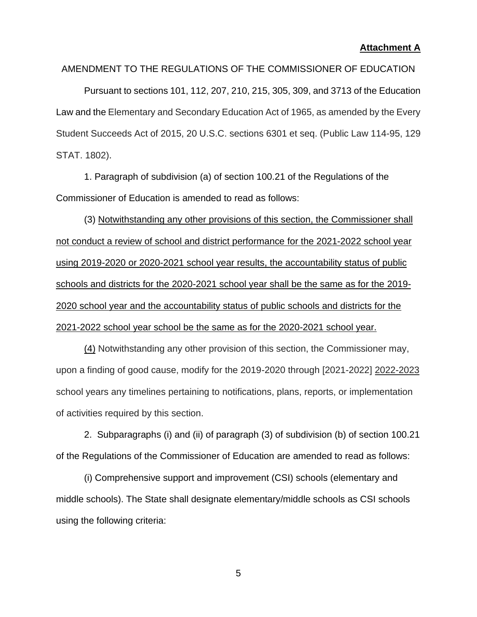#### **Attachment A**

#### AMENDMENT TO THE REGULATIONS OF THE COMMISSIONER OF EDUCATION

Pursuant to sections 101, 112, 207, 210, 215, 305, 309, and 3713 of the Education Law and the Elementary and Secondary Education Act of 1965, as amended by the Every Student Succeeds Act of 2015, 20 U.S.C. sections 6301 et seq. (Public Law 114-95, 129 STAT. 1802).

1. Paragraph of subdivision (a) of section 100.21 of the Regulations of the Commissioner of Education is amended to read as follows:

(3) Notwithstanding any other provisions of this section, the Commissioner shall not conduct a review of school and district performance for the 2021-2022 school year using 2019-2020 or 2020-2021 school year results, the accountability status of public schools and districts for the 2020-2021 school year shall be the same as for the 2019- 2020 school year and the accountability status of public schools and districts for the 2021-2022 school year school be the same as for the 2020-2021 school year.

(4) Notwithstanding any other provision of this section, the Commissioner may, upon a finding of good cause, modify for the 2019-2020 through [2021-2022] 2022-2023 school years any timelines pertaining to notifications, plans, reports, or implementation of activities required by this section.

2. Subparagraphs (i) and (ii) of paragraph (3) of subdivision (b) of section 100.21 of the Regulations of the Commissioner of Education are amended to read as follows:

(i) Comprehensive support and improvement (CSI) schools (elementary and middle schools). The State shall designate elementary/middle schools as CSI schools using the following criteria: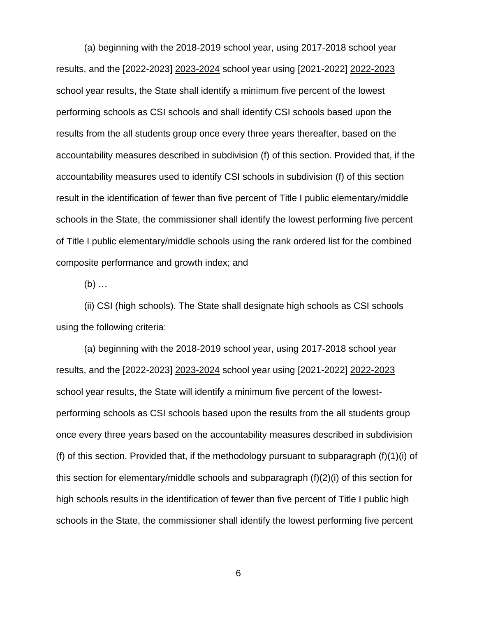(a) beginning with the 2018-2019 school year, using 2017-2018 school year results, and the [2022-2023] 2023-2024 school year using [2021-2022] 2022-2023 school year results, the State shall identify a minimum five percent of the lowest performing schools as CSI schools and shall identify CSI schools based upon the results from the all students group once every three years thereafter, based on the accountability measures described in subdivision (f) of this section. Provided that, if the accountability measures used to identify CSI schools in subdivision (f) of this section result in the identification of fewer than five percent of Title I public elementary/middle schools in the State, the commissioner shall identify the lowest performing five percent of Title I public elementary/middle schools using the rank ordered list for the combined composite performance and growth index; and

 $(b)$  ...

(ii) CSI (high schools). The State shall designate high schools as CSI schools using the following criteria:

(a) beginning with the 2018-2019 school year, using 2017-2018 school year results, and the [2022-2023] 2023-2024 school year using [2021-2022] 2022-2023 school year results, the State will identify a minimum five percent of the lowestperforming schools as CSI schools based upon the results from the all students group once every three years based on the accountability measures described in subdivision (f) of this section. Provided that, if the methodology pursuant to subparagraph (f)(1)(i) of this section for elementary/middle schools and subparagraph (f)(2)(i) of this section for high schools results in the identification of fewer than five percent of Title I public high schools in the State, the commissioner shall identify the lowest performing five percent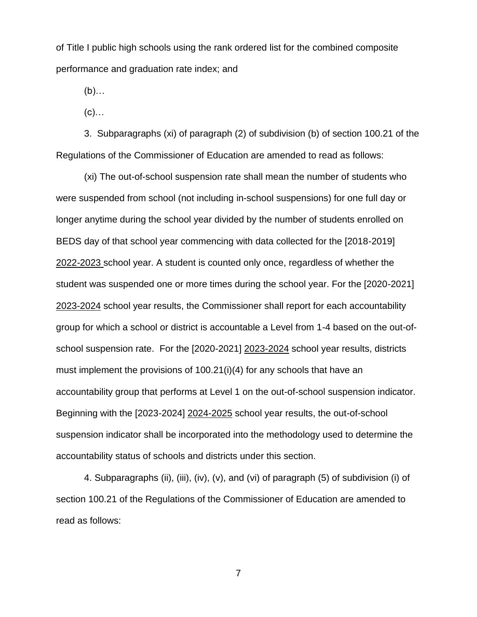of Title I public high schools using the rank ordered list for the combined composite performance and graduation rate index; and

(b)…

 $(c)$ …

3. Subparagraphs (xi) of paragraph (2) of subdivision (b) of section 100.21 of the Regulations of the Commissioner of Education are amended to read as follows:

(xi) The out-of-school suspension rate shall mean the number of students who were suspended from school (not including in-school suspensions) for one full day or longer anytime during the school year divided by the number of students enrolled on BEDS day of that school year commencing with data collected for the [2018-2019] 2022*-*2023 school year. A student is counted only once, regardless of whether the student was suspended one or more times during the school year. For the [2020-2021] 2023-2024 school year results, the Commissioner shall report for each accountability group for which a school or district is accountable a Level from 1-4 based on the out-ofschool suspension rate. For the [2020-2021] 2023-2024 school year results, districts must implement the provisions of 100.21(i)(4) for any schools that have an accountability group that performs at Level 1 on the out-of-school suspension indicator. Beginning with the [2023-2024] 2024-2025 school year results, the out-of-school suspension indicator shall be incorporated into the methodology used to determine the accountability status of schools and districts under this section.

4. Subparagraphs (ii), (iii), (iv), (v), and (vi) of paragraph (5) of subdivision (i) of section 100.21 of the Regulations of the Commissioner of Education are amended to read as follows: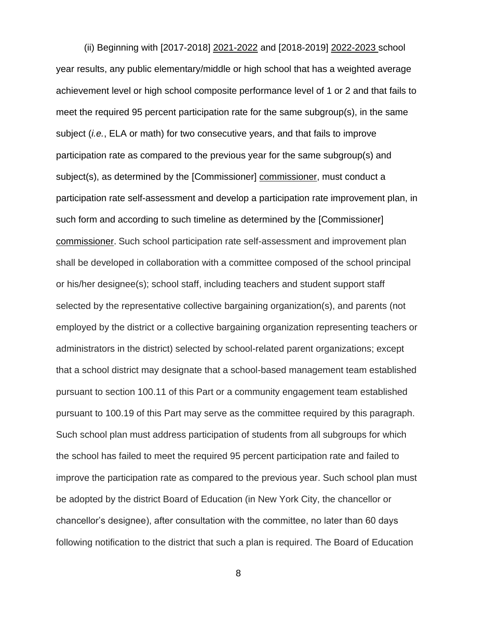(ii) Beginning with [2017-2018] 2021-2022 and [2018-2019] 2022-2023 school year results, any public elementary/middle or high school that has a weighted average achievement level or high school composite performance level of 1 or 2 and that fails to meet the required 95 percent participation rate for the same subgroup(s), in the same subject (*i.e.*, ELA or math) for two consecutive years, and that fails to improve participation rate as compared to the previous year for the same subgroup(s) and subject(s), as determined by the [Commissioner] commissioner, must conduct a participation rate self-assessment and develop a participation rate improvement plan, in such form and according to such timeline as determined by the [Commissioner] commissioner. Such school participation rate self-assessment and improvement plan shall be developed in collaboration with a committee composed of the school principal or his/her designee(s); school staff, including teachers and student support staff selected by the representative collective bargaining organization(s), and parents (not employed by the district or a collective bargaining organization representing teachers or administrators in the district) selected by school-related parent organizations; except that a school district may designate that a school-based management team established pursuant to section 100.11 of this Part or a community engagement team established pursuant to 100.19 of this Part may serve as the committee required by this paragraph. Such school plan must address participation of students from all subgroups for which the school has failed to meet the required 95 percent participation rate and failed to improve the participation rate as compared to the previous year. Such school plan must be adopted by the district Board of Education (in New York City, the chancellor or chancellor's designee), after consultation with the committee, no later than 60 days following notification to the district that such a plan is required. The Board of Education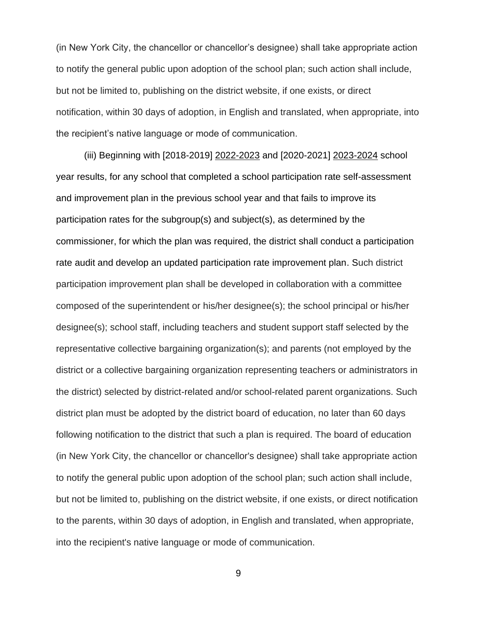(in New York City, the chancellor or chancellor's designee) shall take appropriate action to notify the general public upon adoption of the school plan; such action shall include, but not be limited to, publishing on the district website, if one exists, or direct notification, within 30 days of adoption, in English and translated, when appropriate, into the recipient's native language or mode of communication.

(iii) Beginning with [2018-2019] 2022-2023 and [2020-2021] 2023-2024 school year results, for any school that completed a school participation rate self-assessment and improvement plan in the previous school year and that fails to improve its participation rates for the subgroup(s) and subject(s), as determined by the commissioner, for which the plan was required, the district shall conduct a participation rate audit and develop an updated participation rate improvement plan. Such district participation improvement plan shall be developed in collaboration with a committee composed of the superintendent or his/her designee(s); the school principal or his/her designee(s); school staff, including teachers and student support staff selected by the representative collective bargaining organization(s); and parents (not employed by the district or a collective bargaining organization representing teachers or administrators in the district) selected by district-related and/or school-related parent organizations. Such district plan must be adopted by the district board of education, no later than 60 days following notification to the district that such a plan is required. The board of education (in New York City, the chancellor or chancellor's designee) shall take appropriate action to notify the general public upon adoption of the school plan; such action shall include, but not be limited to, publishing on the district website, if one exists, or direct notification to the parents, within 30 days of adoption, in English and translated, when appropriate, into the recipient's native language or mode of communication.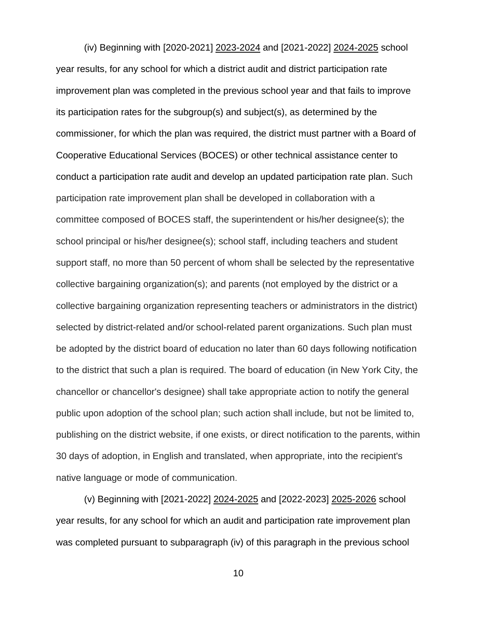(iv) Beginning with [2020-2021] 2023-2024 and [2021-2022] 2024-2025 school year results, for any school for which a district audit and district participation rate improvement plan was completed in the previous school year and that fails to improve its participation rates for the subgroup(s) and subject(s), as determined by the commissioner, for which the plan was required, the district must partner with a Board of Cooperative Educational Services (BOCES) or other technical assistance center to conduct a participation rate audit and develop an updated participation rate plan. Such participation rate improvement plan shall be developed in collaboration with a committee composed of BOCES staff, the superintendent or his/her designee(s); the school principal or his/her designee(s); school staff, including teachers and student support staff, no more than 50 percent of whom shall be selected by the representative collective bargaining organization(s); and parents (not employed by the district or a collective bargaining organization representing teachers or administrators in the district) selected by district-related and/or school-related parent organizations. Such plan must be adopted by the district board of education no later than 60 days following notification to the district that such a plan is required. The board of education (in New York City, the chancellor or chancellor's designee) shall take appropriate action to notify the general public upon adoption of the school plan; such action shall include, but not be limited to, publishing on the district website, if one exists, or direct notification to the parents, within 30 days of adoption, in English and translated, when appropriate, into the recipient's native language or mode of communication.

(v) Beginning with [2021-2022] 2024-2025 and [2022-2023] 2025-2026 school year results, for any school for which an audit and participation rate improvement plan was completed pursuant to subparagraph (iv) of this paragraph in the previous school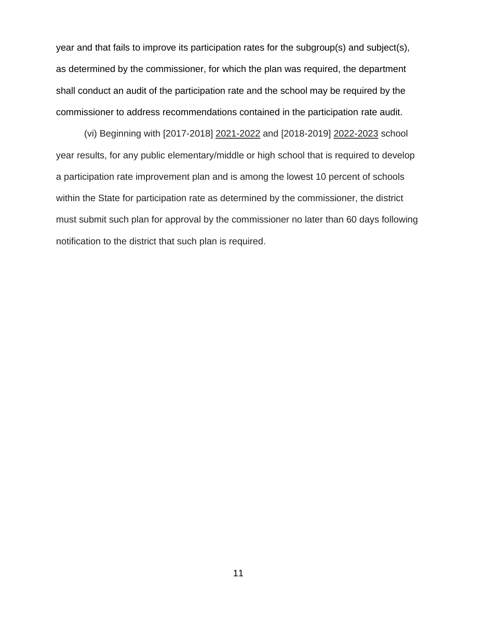year and that fails to improve its participation rates for the subgroup(s) and subject(s), as determined by the commissioner, for which the plan was required, the department shall conduct an audit of the participation rate and the school may be required by the commissioner to address recommendations contained in the participation rate audit.

(vi) Beginning with [2017-2018] 2021-2022 and [2018-2019] 2022-2023 school year results, for any public elementary/middle or high school that is required to develop a participation rate improvement plan and is among the lowest 10 percent of schools within the State for participation rate as determined by the commissioner, the district must submit such plan for approval by the commissioner no later than 60 days following notification to the district that such plan is required.